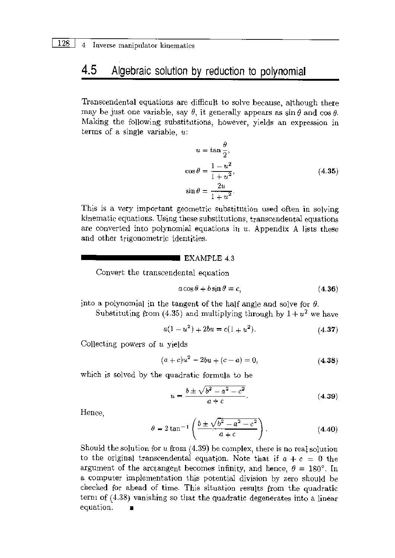#### Algebraic solution by reduction to polynomial 4.5

Transcendental equations are difficult to solve because, although there may be just one variable, say  $\theta$ , it generally appears as  $\sin \theta$  and  $\cos \theta$ . Making the following substitutions, however, yields an expression in terms of a single variable,  $u$ :

$$
u = \tan \frac{\theta}{2},
$$
  
\n
$$
\cos \theta = \frac{1 - u^2}{1 + u^2},
$$
  
\n
$$
\sin \theta = \frac{2u}{1 + u^2}.
$$
\n(4.35)

This is a very important geometric substitution used often in solving kinematic equations. Using these substitutions, transcendental equations are converted into polynomial equations in  $u$ . Appendix A lists these and other trigonometric identities.

#### $\blacksquare$  EXAMPLE 4.3

Convert the transcendental equation

$$
a\cos\theta + b\sin\theta = c,\tag{4.36}
$$

into a polynomial in the tangent of the half angle and solve for  $\theta$ .

Substituting from (4.35) and multiplying through by  $1 + u^2$  we have

$$
a(1 - u2) + 2bu = c(1 + u2).
$$
 (4.37)

Collecting powers of  $u$  yields

$$
(a+c)u2 - 2bu + (c-a) = 0,
$$
 (4.38)

which is solved by the quadratic formula to be

$$
u = \frac{b \pm \sqrt{b^2 - a^2 - c^2}}{a + c}.
$$
 (4.39)

Hence.

$$
\theta = 2 \tan^{-1} \left( \frac{b \pm \sqrt{b^2 - a^2 - c^2}}{a + c} \right).
$$
 (4.40)

Should the solution for  $u$  from (4.39) be complex, there is no real solution to the original transcendental equation. Note that if  $a + c = 0$  the argument of the arctangent becomes infinity, and hence,  $\theta = 180^{\circ}$ . In a computer implementation this potential division by zero should be checked for ahead of time. This situation results from the quadratic term of (4.38) vanishing so that the quadratic degenerates into a linear equation.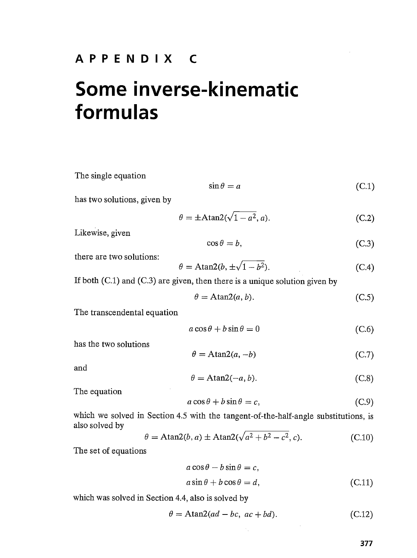### APPENDIX <sup>C</sup>

# Some inverse-kinematic formulas

The single equation  
\n
$$
\sin \theta = a
$$
 (C.1)  
\nhas two solutions, given by  
\n $\theta = \pm \text{Atan2}(\sqrt{1 - a^2}, a)$ . (C.2)  
\nLikewise, given  
\n $\cos \theta = b$ , (C.3)  
\nthere are two solutions:  
\n $\theta = \text{Atan2}(b, \pm \sqrt{1 - b^2})$ . (C.4)  
\nIf both (C.1) and (C.3) are given, then there is a unique solution given by  
\n $\theta = \text{Atan2}(a, b)$ . (C.5)  
\nThe transcendental equation  
\n $a \cos \theta + b \sin \theta = 0$  (C.6)  
\nhas the two solutions  
\n $\theta = \text{Atan2}(a, -b)$  (C.7)  
\nand  
\n $\theta = \text{Atan2}(-a, b)$ . (C.8)  
\nThe equation  
\n $a \cos \theta + b \sin \theta = c$ , (C.9)  
\nwhich we solved in Section 4.5 with the tangent-of-the-half-angle substitutions, is  
\nalso solved by  
\n $\theta = \text{Atan2}(b, a) \pm \text{Atan2}(\sqrt{a^2 + b^2 - c^2}, c)$ . (C.10)  
\nThe set of equations  
\n $a \cos \theta - b \sin \theta = c$ ,

$$
a\sin\theta + b\cos\theta = d,\tag{C.11}
$$

 $\sim$ 

which was solved in Section 4.4, also is solved by

$$
\theta = \text{Atan2}(ad - bc, ac + bd). \tag{C.12}
$$

 $\mathcal{A}_{\mathcal{A}}$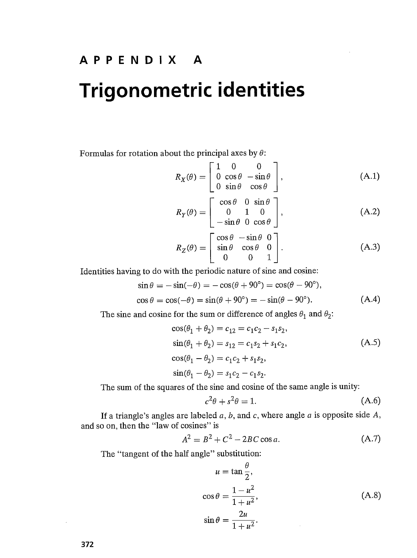## APPENDIX A

## Trigonometric identities

Formulas for rotation about the principal axes by  $\theta$ :

$$
R_X(\theta) = \begin{bmatrix} 1 & 0 & 0 \\ 0 & \cos \theta & -\sin \theta \\ 0 & \sin \theta & \cos \theta \end{bmatrix},
$$
 (A.1)

$$
R_Y(\theta) = \begin{bmatrix} \cos \theta & 0 & \sin \theta \\ 0 & 1 & 0 \\ -\sin \theta & 0 & \cos \theta \end{bmatrix},
$$
 (A.2)

$$
R_Z(\theta) = \begin{bmatrix} \cos \theta & -\sin \theta & 0 \\ \sin \theta & \cos \theta & 0 \\ 0 & 0 & 1 \end{bmatrix}.
$$
 (A.3)

Identities having to do with the periodic nature of sine and cosine:

$$
\sin \theta = -\sin(-\theta) = -\cos(\theta + 90^{\circ}) = \cos(\theta - 90^{\circ}),
$$
  
\n
$$
\cos \theta = \cos(-\theta) = \sin(\theta + 90^{\circ}) = -\sin(\theta - 90^{\circ}).
$$
\n(A.4)

The sine and cosine for the sum or difference of angles  $\theta_1$  and  $\theta_2$ :

$$
\cos(\theta_1 + \theta_2) = c_{12} = c_1c_2 - s_1s_2,
$$
  
\n
$$
\sin(\theta_1 + \theta_2) = s_{12} = c_1s_2 + s_1c_2,
$$
  
\n
$$
\cos(\theta_1 - \theta_2) = c_1c_2 + s_1s_2,
$$
  
\n
$$
\sin(\theta_1 - \theta_2) = s_1c_2 - c_1s_2.
$$
\n(A.5)

The sum of the squares of the sine and cosine of the same angle is unity:

$$
c^2\theta + s^2\theta = 1. \tag{A.6}
$$

If a triangle's angles are labeled  $a$ ,  $b$ , and  $c$ , where angle  $a$  is opposite side  $A$ , and so on, then the "law of cosines" is

$$
A^2 = B^2 + C^2 - 2BC\cos a.
$$
 (A.7)

The "tangent of the half angle" substitution:

$$
u = \tan \frac{\theta}{2},
$$
  
\n
$$
\cos \theta = \frac{1 - u^2}{1 + u^2},
$$
  
\n
$$
\sin \theta = \frac{2u}{1 + u^2}.
$$
\n(A.8)